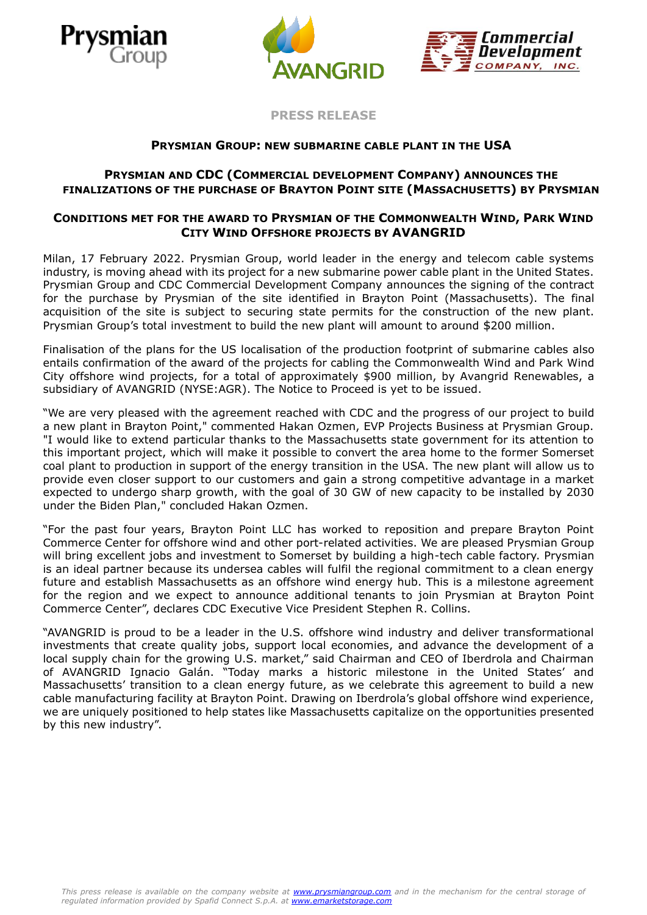





**PRESS RELEASE**

## **PRYSMIAN GROUP: NEW SUBMARINE CABLE PLANT IN THE USA**

# **PRYSMIAN AND CDC (COMMERCIAL DEVELOPMENT COMPANY) ANNOUNCES THE FINALIZATIONS OF THE PURCHASE OF BRAYTON POINT SITE (MASSACHUSETTS) BY PRYSMIAN**

## **CONDITIONS MET FOR THE AWARD TO PRYSMIAN OF THE COMMONWEALTH WIND, PARK WIND CITY WIND OFFSHORE PROJECTS BY AVANGRID**

Milan, 17 February 2022. Prysmian Group, world leader in the energy and telecom cable systems industry, is moving ahead with its project for a new submarine power cable plant in the United States. Prysmian Group and CDC Commercial Development Company announces the signing of the contract for the purchase by Prysmian of the site identified in Brayton Point (Massachusetts). The final acquisition of the site is subject to securing state permits for the construction of the new plant. Prysmian Group's total investment to build the new plant will amount to around \$200 million.

Finalisation of the plans for the US localisation of the production footprint of submarine cables also entails confirmation of the award of the projects for cabling the Commonwealth Wind and Park Wind City offshore wind projects, for a total of approximately \$900 million, by Avangrid Renewables, a subsidiary of AVANGRID (NYSE:AGR). The Notice to Proceed is yet to be issued.

"We are very pleased with the agreement reached with CDC and the progress of our project to build a new plant in Brayton Point," commented Hakan Ozmen, EVP Projects Business at Prysmian Group. "I would like to extend particular thanks to the Massachusetts state government for its attention to this important project, which will make it possible to convert the area home to the former Somerset coal plant to production in support of the energy transition in the USA. The new plant will allow us to provide even closer support to our customers and gain a strong competitive advantage in a market expected to undergo sharp growth, with the goal of 30 GW of new capacity to be installed by 2030 under the Biden Plan," concluded Hakan Ozmen.

"For the past four years, Brayton Point LLC has worked to reposition and prepare Brayton Point Commerce Center for offshore wind and other port-related activities. We are pleased Prysmian Group will bring excellent jobs and investment to Somerset by building a high-tech cable factory. Prysmian is an ideal partner because its undersea cables will fulfil the regional commitment to a clean energy future and establish Massachusetts as an offshore wind energy hub. This is a milestone agreement for the region and we expect to announce additional tenants to join Prysmian at Brayton Point Commerce Center", declares CDC Executive Vice President Stephen R. Collins.

"AVANGRID is proud to be a leader in the U.S. offshore wind industry and deliver transformational investments that create quality jobs, support local economies, and advance the development of a local supply chain for the growing U.S. market," said Chairman and CEO of Iberdrola and Chairman of AVANGRID Ignacio Galán. "Today marks a historic milestone in the United States' and Massachusetts' transition to a clean energy future, as we celebrate this agreement to build a new cable manufacturing facility at Brayton Point. Drawing on Iberdrola's global offshore wind experience, we are uniquely positioned to help states like Massachusetts capitalize on the opportunities presented by this new industry".